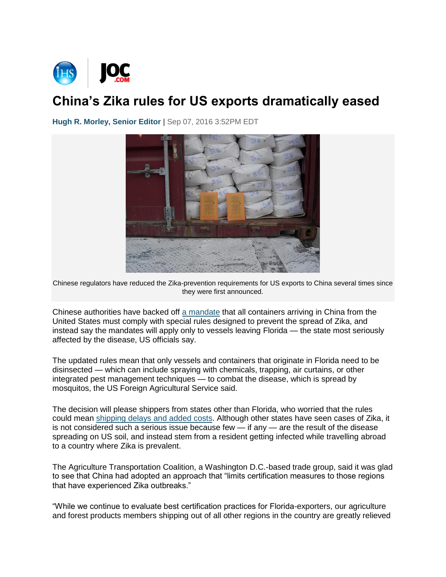

## **China's Zika rules for US exports dramatically eased**

**[Hugh R. Morley, Senior Editor](http://www.joc.com/users/hugh-r-morley) |** Sep 07, 2016 3:52PM EDT



Chinese regulators have reduced the Zika-prevention requirements for US exports to China several times since they were first announced.

Chinese authorities have backed off [a mandate](http://www.joc.com/maritime-news/container-lines/chinese-anti-zika-prevention-efforts-worry-us-exporters_20160810.html) that all containers arriving in China from the United States must comply with special rules designed to prevent the spread of Zika, and instead say the mandates will apply only to vessels leaving Florida — the state most seriously affected by the disease, US officials say.

The updated rules mean that only vessels and containers that originate in Florida need to be disinsected — which can include spraying with chemicals, trapping, air curtains, or other integrated pest management techniques — to combat the disease, which is spread by mosquitos, the US Foreign Agricultural Service said.

The decision will please shippers from states other than Florida, who worried that the rules could mean [shipping delays and added costs.](http://www.joc.com/regulation-policy/china%E2%80%99s-zika-fumigation-arrival-could-delay-cargo-three-days-says-forwarder_20160818.html) Although other states have seen cases of Zika, it is not considered such a serious issue because few  $-$  if any  $-$  are the result of the disease spreading on US soil, and instead stem from a resident getting infected while travelling abroad to a country where Zika is prevalent.

The Agriculture Transportation Coalition, a Washington D.C.-based trade group, said it was glad to see that China had adopted an approach that "limits certification measures to those regions that have experienced Zika outbreaks."

"While we continue to evaluate best certification practices for Florida-exporters, our agriculture and forest products members shipping out of all other regions in the country are greatly relieved